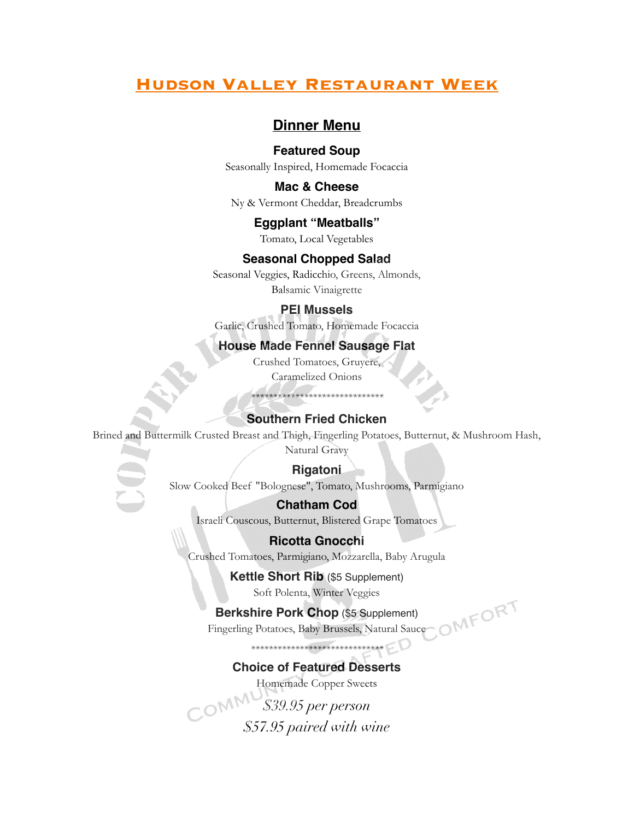# **Hudson Valley Restaurant Week**

## **Dinner Menu**

#### **Featured Soup**

Seasonally Inspired, Homemade Focaccia

### **Mac & Cheese**

Ny & Vermont Cheddar, Breadcrumbs

#### **Eggplant "Meatballs"**

Tomato, Local Vegetables

#### **Seasonal Chopped Salad**

Seasonal Veggies, Radicchio, Greens, Almonds, Balsamic Vinaigrette

#### **PEI Mussels**

Garlic, Crushed Tomato, Homemade Focaccia

## **House Made Fennel Sausage Flat**

Crushed Tomatoes, Gruyere, Caramelized Onions

*\*\*\*\*\*\*\*\*\*\*\*\*\*\*\*\*\*\*\*\*\*\*\*\*\*\*\*\*\*\**

#### **Southern Fried Chicken**

Brined and Buttermilk Crusted Breast and Thigh, Fingerling Potatoes, Butternut, & Mushroom Hash, Natural Gravy

#### **Rigatoni**

Slow Cooked Beef "Bolognese", Tomato, Mushrooms, Parmigiano

#### **Chatham Cod**

Israeli Couscous, Butternut, Blistered Grape Tomatoes

### **Ricotta Gnocchi**

Crushed Tomatoes, Parmigiano, Mozzarella, Baby Arugula

## **Kettle Short Rib** (\$5 Supplement)

Soft Polenta, Winter Veggies

#### **Berkshire Pork Chop** (\$5 Supplement)

Fingerling Potatoes, Baby Brussels, Natural Sauce

*\*\*\*\*\*\*\*\*\*\*\*\*\*\*\*\*\*\*\*\*\*\*\*\*\*\*\*\*\*\**

### **Choice of Featured Desserts**

Homemade Copper Sweets

*\$39.95 per person \$57.95 paired with wine*